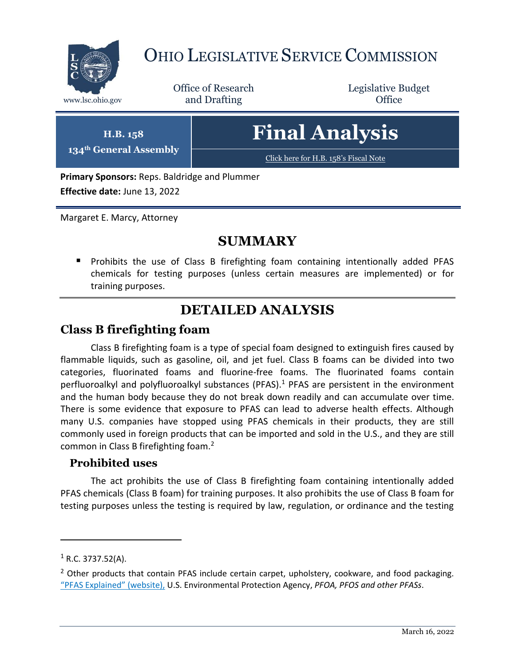

# OHIO LEGISLATIVE SERVICE COMMISSION

Office of Research www.lsc.ohio.gov **and Drafting Office** 

Legislative Budget

**H.B. 158 134th General Assembly** **Final Analysis**

[Click here for H.B. 158](https://www.legislature.ohio.gov/legislation/legislation-documents?id=GA134-HB-158)'s Fiscal Note

**Primary Sponsors:** Reps. Baldridge and Plummer **Effective date:** June 13, 2022

Margaret E. Marcy, Attorney

## **SUMMARY**

 Prohibits the use of Class B firefighting foam containing intentionally added PFAS chemicals for testing purposes (unless certain measures are implemented) or for training purposes.

# **DETAILED ANALYSIS**

## **Class B firefighting foam**

Class B firefighting foam is a type of special foam designed to extinguish fires caused by flammable liquids, such as gasoline, oil, and jet fuel. Class B foams can be divided into two categories, fluorinated foams and fluorine-free foams. The fluorinated foams contain perfluoroalkyl and polyfluoroalkyl substances (PFAS).<sup>1</sup> PFAS are persistent in the environment and the human body because they do not break down readily and can accumulate over time. There is some evidence that exposure to PFAS can lead to adverse health effects. Although many U.S. companies have stopped using PFAS chemicals in their products, they are still commonly used in foreign products that can be imported and sold in the U.S., and they are still common in Class B firefighting foam.<sup>2</sup>

#### **Prohibited uses**

The act prohibits the use of Class B firefighting foam containing intentionally added PFAS chemicals (Class B foam) for training purposes. It also prohibits the use of Class B foam for testing purposes unless the testing is required by law, regulation, or ordinance and the testing

 $\overline{a}$ 

 $1$  R.C. 3737.52(A).

 $2$  Other products that contain PFAS include certain carpet, upholstery, cookware, and food packaging. "[PFAS Explained](https://www.epa.gov/pfas/pfas-explained)" (website), U.S. Environmental Protection Agency, *PFOA, PFOS and other PFASs*.